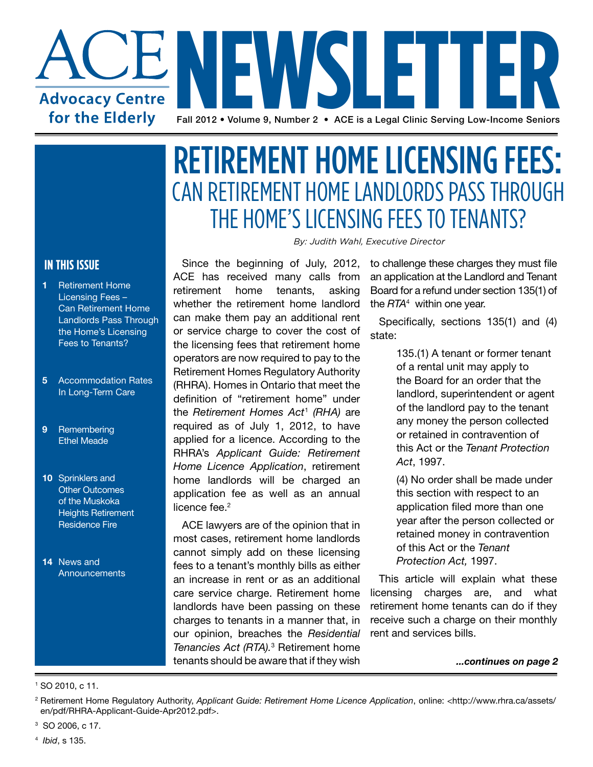

## CAN RETIREMENT HOME LANDLORDS PASS THROUGH THE HOME'S LICENSING FEES TO TENANTS? RETIREMENT HOME LICENSING FEES:

*By: Judith Wahl, Executive Director* 

Since the beginning of July, 2012, ACE has received many calls from retirement home tenants, asking whether the retirement home landlord can make them pay an additional rent or service charge to cover the cost of the licensing fees that retirement home operators are now required to pay to the Retirement Homes Regulatory Authority (RHRA). Homes in Ontario that meet the definition of "retirement home" under the *Retirement Homes Act*<sup>1</sup>  *(RHA)* are required as of July 1, 2012, to have applied for a licence. According to the RHRA's *Applicant Guide: Retirement Home Licence Application*, retirement home landlords will be charged an application fee as well as an annual licence fee. $2$ 

ACE lawyers are of the opinion that in most cases, retirement home landlords cannot simply add on these licensing fees to a tenant's monthly bills as either an increase in rent or as an additional care service charge. Retirement home landlords have been passing on these charges to tenants in a manner that, in our opinion, breaches the *Residential Tenancies Act (RTA).*<sup>3</sup> Retirement home tenants should be aware that if they wish

to challenge these charges they must file an application at the Landlord and Tenant Board for a refund under section 135(1) of the *RTA*<sup>4</sup> within one year.

Specifically, sections 135(1) and (4) state:

> 135.(1) A tenant or former tenant of a rental unit may apply to the Board for an order that the landlord, superintendent or agent of the landlord pay to the tenant any money the person collected or retained in contravention of this Act or the *Tenant Protection Act*, 1997.

> (4) No order shall be made under this section with respect to an application filed more than one year after the person collected or retained money in contravention of this Act or the *Tenant Protection Act,* 1997.

This article will explain what these licensing charges are, and what retirement home tenants can do if they receive such a charge on their monthly rent and services bills.

*...continues on page 2*

#### **IN THIS ISSUE**

- **1** Retirement Home Licensing Fees – Can Retirement Home Landlords Pass Through the Home's Licensing Fees to Tenants?
- **5** Accommodation Rates In Long-Term Care
- **9** Remembering Ethel Meade
- **10** Sprinklers and Other Outcomes of the Muskoka Heights Retirement Residence Fire

 **14** News and **Announcements** 

3 SO 2006, c 17.

4 *Ibid*, s 135.

<sup>1</sup> SO 2010, c 11.

<sup>2</sup> Retirement Home Regulatory Authority, *Applicant Guide: Retirement Home Licence Application*, online: <http://www.rhra.ca/assets/ en/pdf/RHRA-Applicant-Guide-Apr2012.pdf>.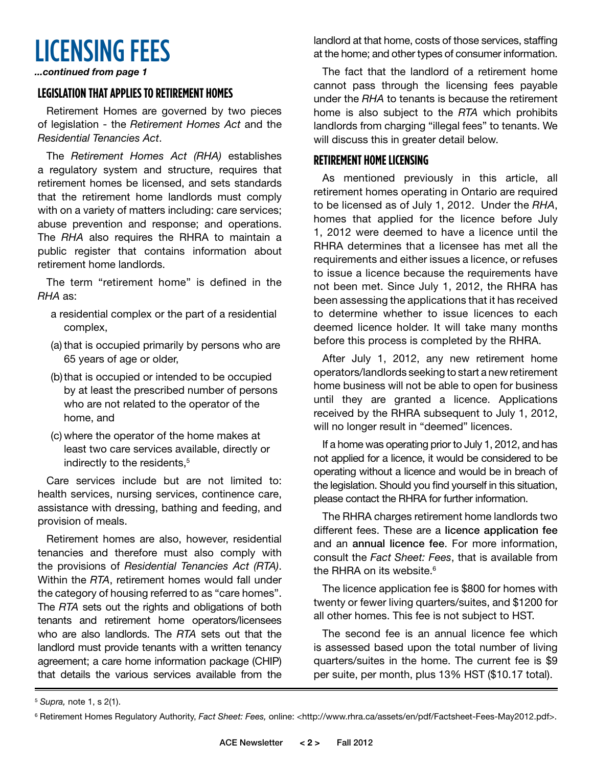LICENSING FEES *...continued from page 1*

#### **LEGISLATION THAT APPLIES TO RETIREMENT HOMES**

Retirement Homes are governed by two pieces of legislation - the *Retirement Homes Act* and the *Residential Tenancies Act*.

The *Retirement Homes Act (RHA)* establishes a regulatory system and structure, requires that retirement homes be licensed, and sets standards that the retirement home landlords must comply with on a variety of matters including: care services; abuse prevention and response; and operations. The *RHA* also requires the RHRA to maintain a public register that contains information about retirement home landlords.

The term "retirement home" is defined in the *RHA* as:

- a residential complex or the part of a residential complex,
- (a) that is occupied primarily by persons who are 65 years of age or older,
- (b)that is occupied or intended to be occupied by at least the prescribed number of persons who are not related to the operator of the home, and
- (c) where the operator of the home makes at least two care services available, directly or indirectly to the residents,<sup>5</sup>

Care services include but are not limited to: health services, nursing services, continence care, assistance with dressing, bathing and feeding, and provision of meals.

Retirement homes are also, however, residential tenancies and therefore must also comply with the provisions of *Residential Tenancies Act (RTA)*. Within the *RTA*, retirement homes would fall under the category of housing referred to as "care homes". The *RTA* sets out the rights and obligations of both tenants and retirement home operators/licensees who are also landlords. The *RTA* sets out that the landlord must provide tenants with a written tenancy agreement; a care home information package (CHIP) that details the various services available from the landlord at that home, costs of those services, staffing at the home; and other types of consumer information.

The fact that the landlord of a retirement home cannot pass through the licensing fees payable under the *RHA* to tenants is because the retirement home is also subject to the *RTA* which prohibits landlords from charging "illegal fees" to tenants. We will discuss this in greater detail below.

#### **Retirement Home Licensing**

As mentioned previously in this article, all retirement homes operating in Ontario are required to be licensed as of July 1, 2012. Under the *RHA*, homes that applied for the licence before July 1, 2012 were deemed to have a licence until the RHRA determines that a licensee has met all the requirements and either issues a licence, or refuses to issue a licence because the requirements have not been met. Since July 1, 2012, the RHRA has been assessing the applications that it has received to determine whether to issue licences to each deemed licence holder. It will take many months before this process is completed by the RHRA.

After July 1, 2012, any new retirement home operators/landlords seeking to start a new retirement home business will not be able to open for business until they are granted a licence. Applications received by the RHRA subsequent to July 1, 2012, will no longer result in "deemed" licences.

If a home was operating prior to July 1, 2012, and has not applied for a licence, it would be considered to be operating without a licence and would be in breach of the legislation. Should you find yourself in this situation, please contact the RHRA for further information.

The RHRA charges retirement home landlords two different fees. These are a licence application fee and an annual licence fee. For more information, consult the *Fact Sheet: Fees*, that is available from the RHRA on its website. $6$ 

The licence application fee is \$800 for homes with twenty or fewer living quarters/suites, and \$1200 for all other homes. This fee is not subject to HST.

The second fee is an annual licence fee which is assessed based upon the total number of living quarters/suites in the home. The current fee is \$9 per suite, per month, plus 13% HST (\$10.17 total).

<sup>5</sup> *Supra,* note 1, s 2(1).

<sup>&</sup>lt;sup>6</sup> Retirement Homes Regulatory Authority, Fact Sheet: Fees, online: <http://www.rhra.ca/assets/en/pdf/Factsheet-Fees-May2012.pdf>.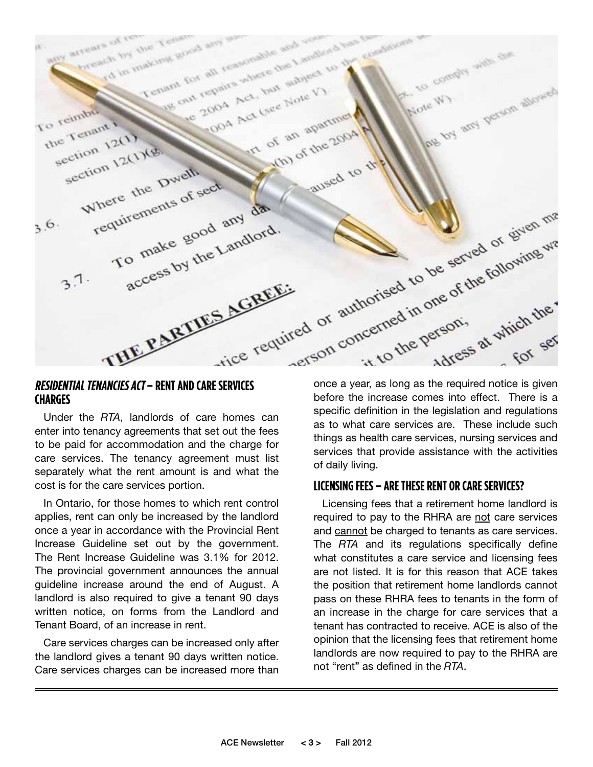

### **Charges**

Under the *RTA*, landlords of care homes can enter into tenancy agreements that set out the fees to be paid for accommodation and the charge for care services. The tenancy agreement must list separately what the rent amount is and what the cost is for the care services portion.

In Ontario, for those homes to which rent control applies, rent can only be increased by the landlord once a year in accordance with the Provincial Rent Increase Guideline set out by the government. The Rent Increase Guideline was 3.1% for 2012. The provincial government announces the annual guideline increase around the end of August. A landlord is also required to give a tenant 90 days written notice, on forms from the Landlord and Tenant Board, of an increase in rent.

Care services charges can be increased only after the landlord gives a tenant 90 days written notice. Care services charges can be increased more than before the increase comes into effect. There is a specific definition in the legislation and regulations as to what care services are. These include such things as health care services, nursing services and services that provide assistance with the activities of daily living.

#### **LICENSING FEES – ARE THESE RENT OR CARE SERVICES?**

Licensing fees that a retirement home landlord is required to pay to the RHRA are not care services and cannot be charged to tenants as care services. The *RTA* and its regulations specifically define what constitutes a care service and licensing fees are not listed. It is for this reason that ACE takes the position that retirement home landlords cannot pass on these RHRA fees to tenants in the form of an increase in the charge for care services that a tenant has contracted to receive. ACE is also of the opinion that the licensing fees that retirement home landlords are now required to pay to the RHRA are not "rent" as defined in the *RTA*.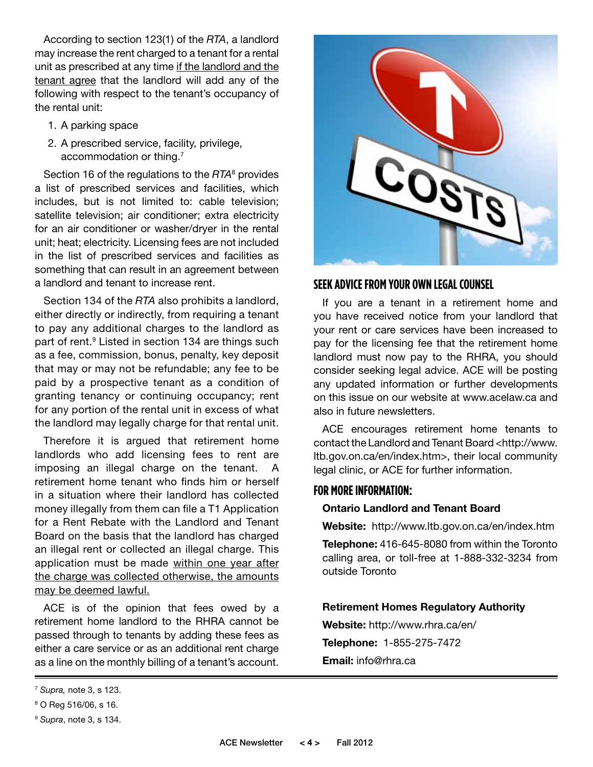According to section 123(1) of the *RTA*, a landlord may increase the rent charged to a tenant for a rental unit as prescribed at any time if the landlord and the tenant agree that the landlord will add any of the following with respect to the tenant's occupancy of the rental unit:

- 1. A parking space
- 2. A prescribed service, facility, privilege, accommodation or thing.7

Section 16 of the regulations to the *RTA*<sup>8</sup> provides a list of prescribed services and facilities, which includes, but is not limited to: cable television; satellite television; air conditioner; extra electricity for an air conditioner or washer/dryer in the rental unit; heat; electricity. Licensing fees are not included in the list of prescribed services and facilities as something that can result in an agreement between a landlord and tenant to increase rent.

Section 134 of the *RTA* also prohibits a landlord, either directly or indirectly, from requiring a tenant to pay any additional charges to the landlord as part of rent.<sup>9</sup> Listed in section 134 are things such as a fee, commission, bonus, penalty, key deposit that may or may not be refundable; any fee to be paid by a prospective tenant as a condition of granting tenancy or continuing occupancy; rent for any portion of the rental unit in excess of what the landlord may legally charge for that rental unit.

Therefore it is argued that retirement home landlords who add licensing fees to rent are imposing an illegal charge on the tenant. A retirement home tenant who finds him or herself in a situation where their landlord has collected money illegally from them can file a T1 Application for a Rent Rebate with the Landlord and Tenant Board on the basis that the landlord has charged an illegal rent or collected an illegal charge. This application must be made within one year after the charge was collected otherwise, the amounts may be deemed lawful.

ACE is of the opinion that fees owed by a retirement home landlord to the RHRA cannot be passed through to tenants by adding these fees as either a care service or as an additional rent charge as a line on the monthly billing of a tenant's account.



#### **SEEK ADVICE FROM YOUR OWN LEGAL COUNSEL**

If you are a tenant in a retirement home and you have received notice from your landlord that your rent or care services have been increased to pay for the licensing fee that the retirement home landlord must now pay to the RHRA, you should consider seeking legal advice. ACE will be posting any updated information or further developments on this issue on our website at www.acelaw.ca and also in future newsletters.

ACE encourages retirement home tenants to contact the Landlord and Tenant Board <http://www. ltb.gov.on.ca/en/index.htm>, their local community legal clinic, or ACE for further information.

#### **FOR MORE INFORMATION:**

#### **Ontario Landlord and Tenant Board**

**Website:** http://www.ltb.gov.on.ca/en/index.htm

**Telephone:** 416-645-8080 from within the Toronto calling area, or toll-free at 1-888-332-3234 from outside Toronto

#### **Retirement Homes Regulatory Authority**

**Website:** http://www.rhra.ca/en/ **Telephone:** 1-855-275-7472 **Email:** info@rhra.ca

<sup>7</sup> *Supra,* note 3, s 123.

<sup>8</sup> O Reg 516/06, s 16.

<sup>9</sup> *Supra*, note 3, s 134.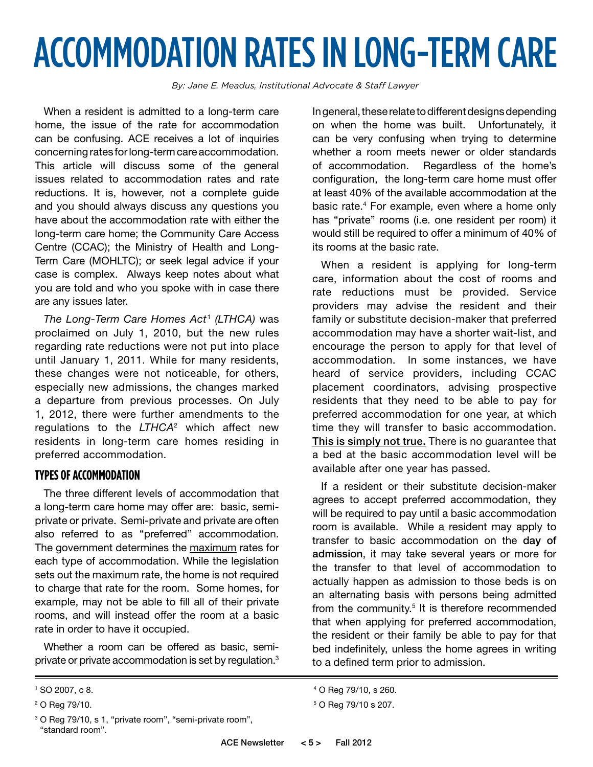## ACCOMMODATION RATES IN LONG-TERM CARE

*By: Jane E. Meadus, Institutional Advocate & Staff Lawyer* 

When a resident is admitted to a long-term care home, the issue of the rate for accommodation can be confusing. ACE receives a lot of inquiries concerning rates for long-term care accommodation. This article will discuss some of the general issues related to accommodation rates and rate reductions. It is, however, not a complete guide and you should always discuss any questions you have about the accommodation rate with either the long-term care home; the Community Care Access Centre (CCAC); the Ministry of Health and Long-Term Care (MOHLTC); or seek legal advice if your case is complex. Always keep notes about what you are told and who you spoke with in case there are any issues later.

*The Long-Term Care Homes Act*1 *(LTHCA)* was proclaimed on July 1, 2010, but the new rules regarding rate reductions were not put into place until January 1, 2011. While for many residents, these changes were not noticeable, for others, especially new admissions, the changes marked a departure from previous processes. On July 1, 2012, there were further amendments to the regulations to the *LTHCA*2 which affect new residents in long-term care homes residing in preferred accommodation.

#### **Types of Accommodation**

The three different levels of accommodation that a long-term care home may offer are: basic, semiprivate or private. Semi-private and private are often also referred to as "preferred" accommodation. The government determines the maximum rates for each type of accommodation. While the legislation sets out the maximum rate, the home is not required to charge that rate for the room. Some homes, for example, may not be able to fill all of their private rooms, and will instead offer the room at a basic rate in order to have it occupied.

Whether a room can be offered as basic, semiprivate or private accommodation is set by regulation.<sup>3</sup> In general, these relate to different designs depending on when the home was built. Unfortunately, it can be very confusing when trying to determine whether a room meets newer or older standards of accommodation. Regardless of the home's configuration, the long-term care home must offer at least 40% of the available accommodation at the basic rate.<sup>4</sup> For example, even where a home only has "private" rooms (i.e. one resident per room) it would still be required to offer a minimum of 40% of its rooms at the basic rate.

When a resident is applying for long-term care, information about the cost of rooms and rate reductions must be provided. Service providers may advise the resident and their family or substitute decision-maker that preferred accommodation may have a shorter wait-list, and encourage the person to apply for that level of accommodation. In some instances, we have heard of service providers, including CCAC placement coordinators, advising prospective residents that they need to be able to pay for preferred accommodation for one year, at which time they will transfer to basic accommodation. This is simply not true. There is no guarantee that a bed at the basic accommodation level will be available after one year has passed.

If a resident or their substitute decision-maker agrees to accept preferred accommodation, they will be required to pay until a basic accommodation room is available. While a resident may apply to transfer to basic accommodation on the day of admission, it may take several years or more for the transfer to that level of accommodation to actually happen as admission to those beds is on an alternating basis with persons being admitted from the community.<sup>5</sup> It is therefore recommended that when applying for preferred accommodation, the resident or their family be able to pay for that bed indefinitely, unless the home agrees in writing to a defined term prior to admission.

<sup>1</sup> SO 2007, c 8.

<sup>2</sup> O Reg 79/10.

<sup>&</sup>lt;sup>3</sup> O Reg 79/10, s 1, "private room", "semi-private room", "standard room".

<sup>4</sup> O Reg 79/10, s 260.

<sup>5</sup> O Reg 79/10 s 207.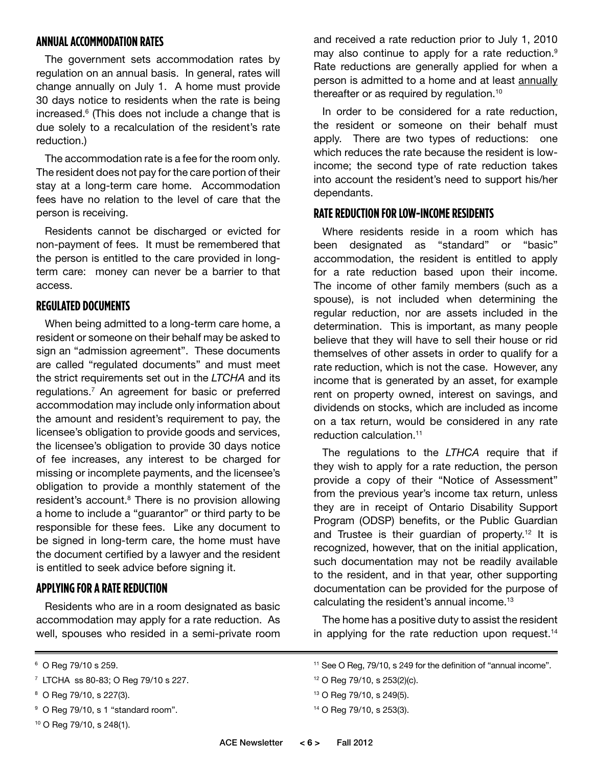#### **ANNUAL ACCOMMODATION RATES**

The government sets accommodation rates by regulation on an annual basis. In general, rates will change annually on July 1. A home must provide 30 days notice to residents when the rate is being increased.6 (This does not include a change that is due solely to a recalculation of the resident's rate reduction.)

The accommodation rate is a fee for the room only. The resident does not pay for the care portion of their stay at a long-term care home. Accommodation fees have no relation to the level of care that the person is receiving.

Residents cannot be discharged or evicted for non-payment of fees. It must be remembered that the person is entitled to the care provided in longterm care: money can never be a barrier to that access.

#### **Regulated Documents**

When being admitted to a long-term care home, a resident or someone on their behalf may be asked to sign an "admission agreement". These documents are called "regulated documents" and must meet the strict requirements set out in the *LTCHA* and its regulations.7 An agreement for basic or preferred accommodation may include only information about the amount and resident's requirement to pay, the licensee's obligation to provide goods and services, the licensee's obligation to provide 30 days notice of fee increases, any interest to be charged for missing or incomplete payments, and the licensee's obligation to provide a monthly statement of the resident's account.<sup>8</sup> There is no provision allowing a home to include a "guarantor" or third party to be responsible for these fees. Like any document to be signed in long-term care, the home must have the document certified by a lawyer and the resident is entitled to seek advice before signing it.

#### **Applying for a Rate Reduction**

Residents who are in a room designated as basic accommodation may apply for a rate reduction. As well, spouses who resided in a semi-private room

- <sup>9</sup> O Reg 79/10, s 1 "standard room".
- 10 O Reg 79/10, s 248(1).

and received a rate reduction prior to July 1, 2010 may also continue to apply for a rate reduction.<sup>9</sup> Rate reductions are generally applied for when a person is admitted to a home and at least annually thereafter or as required by regulation.<sup>10</sup>

In order to be considered for a rate reduction, the resident or someone on their behalf must apply. There are two types of reductions: one which reduces the rate because the resident is lowincome; the second type of rate reduction takes into account the resident's need to support his/her dependants.

#### **Rate Reduction for Low-Income Residents**

Where residents reside in a room which has been designated as "standard" or "basic" accommodation, the resident is entitled to apply for a rate reduction based upon their income. The income of other family members (such as a spouse), is not included when determining the regular reduction, nor are assets included in the determination. This is important, as many people believe that they will have to sell their house or rid themselves of other assets in order to qualify for a rate reduction, which is not the case. However, any income that is generated by an asset, for example rent on property owned, interest on savings, and dividends on stocks, which are included as income on a tax return, would be considered in any rate reduction calculation.<sup>11</sup>

The regulations to the *LTHCA* require that if they wish to apply for a rate reduction, the person provide a copy of their "Notice of Assessment" from the previous year's income tax return, unless they are in receipt of Ontario Disability Support Program (ODSP) benefits, or the Public Guardian and Trustee is their quardian of property.<sup>12</sup> It is recognized, however, that on the initial application, such documentation may not be readily available to the resident, and in that year, other supporting documentation can be provided for the purpose of calculating the resident's annual income.<sup>13</sup>

The home has a positive duty to assist the resident in applying for the rate reduction upon request.<sup>14</sup>

- 13 O Reg 79/10, s 249(5).
- 14 O Reg 79/10, s 253(3).

<sup>6</sup> O Reg 79/10 s 259.

<sup>7</sup> LTCHA ss 80-83; O Reg 79/10 s 227.

<sup>8</sup> O Reg 79/10, s 227(3).

<sup>&</sup>lt;sup>11</sup> See O Reg, 79/10, s 249 for the definition of "annual income".

<sup>12</sup> O Reg 79/10, s 253(2)(c).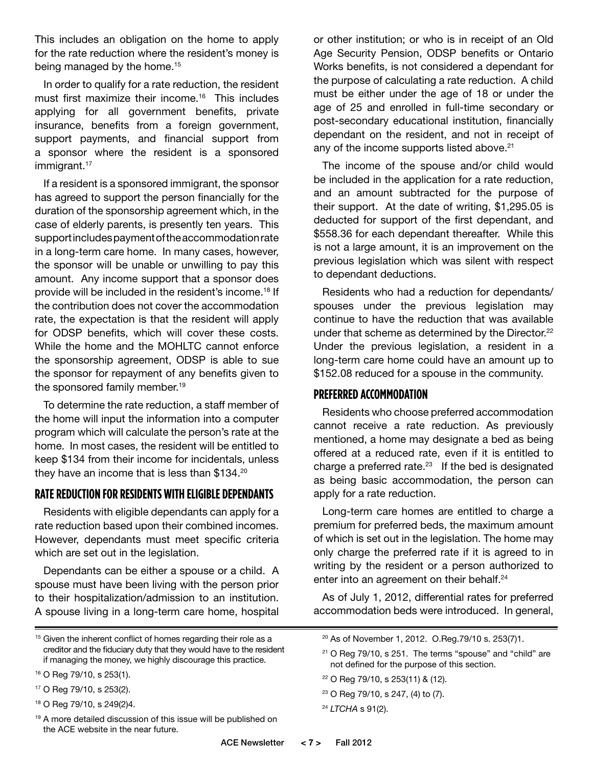This includes an obligation on the home to apply for the rate reduction where the resident's money is being managed by the home.<sup>15</sup>

In order to qualify for a rate reduction, the resident must first maximize their income.16 This includes applying for all government benefits, private insurance, benefits from a foreign government, support payments, and financial support from a sponsor where the resident is a sponsored immigrant.<sup>17</sup>

If a resident is a sponsored immigrant, the sponsor has agreed to support the person financially for the duration of the sponsorship agreement which, in the case of elderly parents, is presently ten years. This support includes payment of the accommodation rate in a long-term care home. In many cases, however, the sponsor will be unable or unwilling to pay this amount. Any income support that a sponsor does provide will be included in the resident's income.<sup>18</sup> If the contribution does not cover the accommodation rate, the expectation is that the resident will apply for ODSP benefits, which will cover these costs. While the home and the MOHLTC cannot enforce the sponsorship agreement, ODSP is able to sue the sponsor for repayment of any benefits given to the sponsored family member.<sup>19</sup>

To determine the rate reduction, a staff member of the home will input the information into a computer program which will calculate the person's rate at the home. In most cases, the resident will be entitled to keep \$134 from their income for incidentals, unless they have an income that is less than \$134.20

#### **Rate Reduction for Residents with Eligible Dependants**

Residents with eligible dependants can apply for a rate reduction based upon their combined incomes. However, dependants must meet specific criteria which are set out in the legislation.

Dependants can be either a spouse or a child. A spouse must have been living with the person prior to their hospitalization/admission to an institution. A spouse living in a long-term care home, hospital

17 O Reg 79/10, s 253(2).

or other institution; or who is in receipt of an Old Age Security Pension, ODSP benefits or Ontario Works benefits, is not considered a dependant for the purpose of calculating a rate reduction. A child must be either under the age of 18 or under the age of 25 and enrolled in full-time secondary or post-secondary educational institution, financially dependant on the resident, and not in receipt of any of the income supports listed above.<sup>21</sup>

The income of the spouse and/or child would be included in the application for a rate reduction, and an amount subtracted for the purpose of their support. At the date of writing, \$1,295.05 is deducted for support of the first dependant, and \$558.36 for each dependant thereafter. While this is not a large amount, it is an improvement on the previous legislation which was silent with respect to dependant deductions.

Residents who had a reduction for dependants/ spouses under the previous legislation may continue to have the reduction that was available under that scheme as determined by the Director.<sup>22</sup> Under the previous legislation, a resident in a long-term care home could have an amount up to \$152.08 reduced for a spouse in the community.

#### **Preferred Accommodation**

Residents who choose preferred accommodation cannot receive a rate reduction. As previously mentioned, a home may designate a bed as being offered at a reduced rate, even if it is entitled to charge a preferred rate. $23$  If the bed is designated as being basic accommodation, the person can apply for a rate reduction.

Long-term care homes are entitled to charge a premium for preferred beds, the maximum amount of which is set out in the legislation. The home may only charge the preferred rate if it is agreed to in writing by the resident or a person authorized to enter into an agreement on their behalf.<sup>24</sup>

As of July 1, 2012, differential rates for preferred accommodation beds were introduced. In general,

<sup>21</sup> O Reg 79/10, s 251. The terms "spouse" and "child" are not defined for the purpose of this section.

- 22 O Reg 79/10, s 253(11) & (12).
- 23 O Reg 79/10, s 247, (4) to (7).
- <sup>24</sup> *LTCHA* s 91(2).

 $15$  Given the inherent conflict of homes regarding their role as a creditor and the fiduciary duty that they would have to the resident if managing the money, we highly discourage this practice.

<sup>16</sup> O Reg 79/10, s 253(1).

<sup>18</sup> O Reg 79/10, s 249(2)4.

<sup>&</sup>lt;sup>19</sup> A more detailed discussion of this issue will be published on the ACE website in the near future.

<sup>20</sup> As of November 1, 2012. O.Reg.79/10 s. 253(7)1.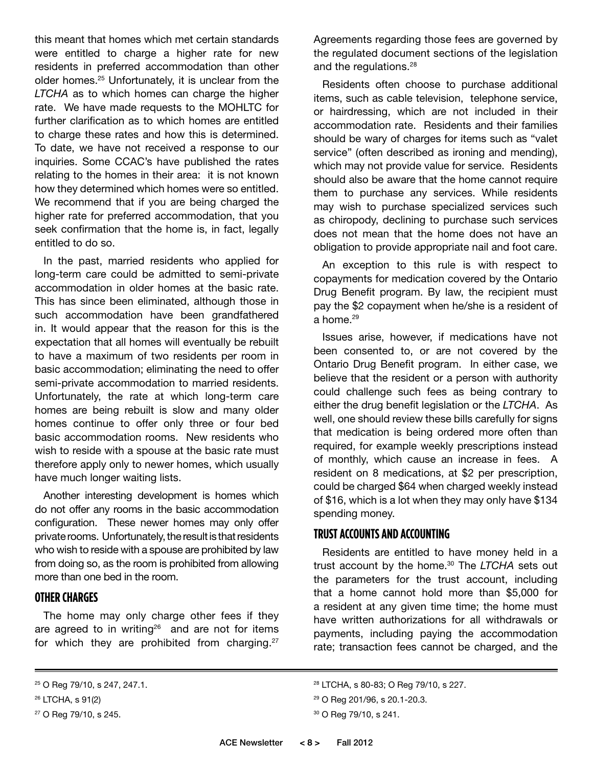this meant that homes which met certain standards were entitled to charge a higher rate for new residents in preferred accommodation than other older homes.<sup>25</sup> Unfortunately, it is unclear from the *LTCHA* as to which homes can charge the higher rate. We have made requests to the MOHLTC for further clarification as to which homes are entitled to charge these rates and how this is determined. To date, we have not received a response to our inquiries. Some CCAC's have published the rates relating to the homes in their area: it is not known how they determined which homes were so entitled. We recommend that if you are being charged the higher rate for preferred accommodation, that you seek confirmation that the home is, in fact, legally entitled to do so.

In the past, married residents who applied for long-term care could be admitted to semi-private accommodation in older homes at the basic rate. This has since been eliminated, although those in such accommodation have been grandfathered in. It would appear that the reason for this is the expectation that all homes will eventually be rebuilt to have a maximum of two residents per room in basic accommodation; eliminating the need to offer semi-private accommodation to married residents. Unfortunately, the rate at which long-term care homes are being rebuilt is slow and many older homes continue to offer only three or four bed basic accommodation rooms. New residents who wish to reside with a spouse at the basic rate must therefore apply only to newer homes, which usually have much longer waiting lists.

Another interesting development is homes which do not offer any rooms in the basic accommodation configuration. These newer homes may only offer private rooms. Unfortunately, the result is that residents who wish to reside with a spouse are prohibited by law from doing so, as the room is prohibited from allowing more than one bed in the room.

#### **OTHER CHARGES**

The home may only charge other fees if they are agreed to in writing<sup>26</sup> and are not for items for which they are prohibited from charging.<sup>27</sup>

Residents often choose to purchase additional items, such as cable television, telephone service, or hairdressing, which are not included in their accommodation rate. Residents and their families should be wary of charges for items such as "valet service" (often described as ironing and mending), which may not provide value for service. Residents should also be aware that the home cannot require them to purchase any services. While residents may wish to purchase specialized services such as chiropody, declining to purchase such services does not mean that the home does not have an obligation to provide appropriate nail and foot care.

An exception to this rule is with respect to copayments for medication covered by the Ontario Drug Benefit program. By law, the recipient must pay the \$2 copayment when he/she is a resident of a home.<sup>29</sup>

Issues arise, however, if medications have not been consented to, or are not covered by the Ontario Drug Benefit program. In either case, we believe that the resident or a person with authority could challenge such fees as being contrary to either the drug benefit legislation or the *LTCHA*. As well, one should review these bills carefully for signs that medication is being ordered more often than required, for example weekly prescriptions instead of monthly, which cause an increase in fees. A resident on 8 medications, at \$2 per prescription, could be charged \$64 when charged weekly instead of \$16, which is a lot when they may only have \$134 spending money.

#### **TRUST ACCOUNTS AND ACCOUNTING**

Residents are entitled to have money held in a trust account by the home.30 The *LTCHA* sets out the parameters for the trust account, including that a home cannot hold more than \$5,000 for a resident at any given time time; the home must have written authorizations for all withdrawals or payments, including paying the accommodation rate; transaction fees cannot be charged, and the

Agreements regarding those fees are governed by the regulated document sections of the legislation and the regulations.<sup>28</sup>

<sup>25</sup> O Reg 79/10, s 247, 247.1.

<sup>26</sup> LTCHA, s 91(2)

<sup>27</sup> O Reg 79/10, s 245.

<sup>28</sup> LTCHA, s 80-83; O Reg 79/10, s 227.

<sup>29</sup> O Reg 201/96, s 20.1-20.3.

<sup>30</sup> O Reg 79/10, s 241.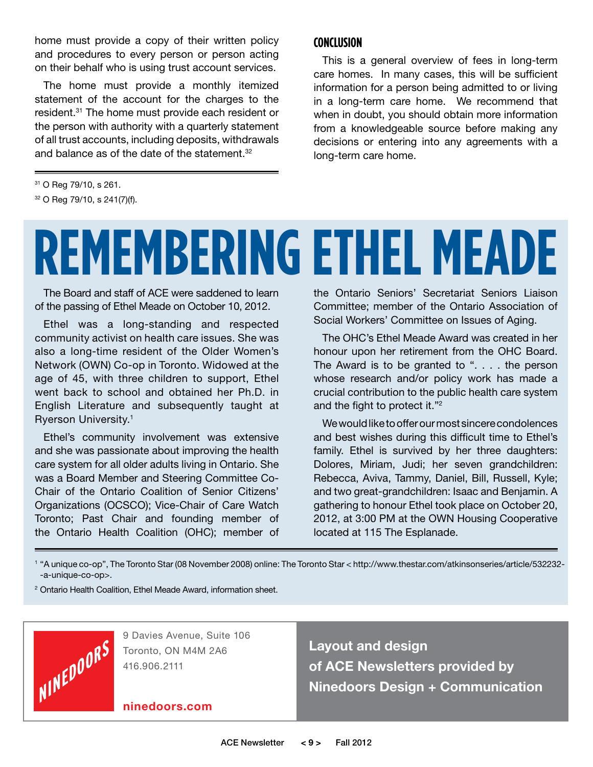home must provide a copy of their written policy and procedures to every person or person acting on their behalf who is using trust account services.

The home must provide a monthly itemized statement of the account for the charges to the resident.31 The home must provide each resident or the person with authority with a quarterly statement of all trust accounts, including deposits, withdrawals and balance as of the date of the statement.<sup>32</sup>

#### **Conclusion**

This is a general overview of fees in long-term care homes. In many cases, this will be sufficient information for a person being admitted to or living in a long-term care home. We recommend that when in doubt, you should obtain more information from a knowledgeable source before making any decisions or entering into any agreements with a long-term care home.

31 O Reg 79/10, s 261.

32 O Reg 79/10, s 241(7)(f).

# **REMEMBERING ETHEL MEADE**

The Board and staff of ACE were saddened to learn of the passing of Ethel Meade on October 10, 2012.

Ethel was a long-standing and respected community activist on health care issues. She was also a long-time resident of the Older Women's Network (OWN) Co-op in Toronto. Widowed at the age of 45, with three children to support, Ethel went back to school and obtained her Ph.D. in English Literature and subsequently taught at Ryerson University.<sup>1</sup>

Ethel's community involvement was extensive and she was passionate about improving the health care system for all older adults living in Ontario. She was a Board Member and Steering Committee Co-Chair of the Ontario Coalition of Senior Citizens' Organizations (OCSCO); Vice-Chair of Care Watch Toronto; Past Chair and founding member of the Ontario Health Coalition (OHC); member of

the Ontario Seniors' Secretariat Seniors Liaison Committee; member of the Ontario Association of Social Workers' Committee on Issues of Aging.

The OHC's Ethel Meade Award was created in her honour upon her retirement from the OHC Board. The Award is to be granted to ". . . . the person whose research and/or policy work has made a crucial contribution to the public health care system and the fight to protect it."<sup>2</sup>

We would like to offer our most sincere condolences and best wishes during this difficult time to Ethel's family. Ethel is survived by her three daughters: Dolores, Miriam, Judi; her seven grandchildren: Rebecca, Aviva, Tammy, Daniel, Bill, Russell, Kyle; and two great-grandchildren: Isaac and Benjamin. A gathering to honour Ethel took place on October 20, 2012, at 3:00 PM at the OWN Housing Cooperative located at 115 The Esplanade.

<sup>1</sup> "A unique co-op", The Toronto Star (08 November 2008) online: The Toronto Star < http://www.thestar.com/atkinsonseries/article/532232- -a-unique-co-op>.

<sup>2</sup> Ontario Health Coalition, Ethel Meade Award, information sheet.



9 Davies Avenue, Suite 106 Toronto, ON M4M 2A6 416.906.2111

**ninedoors.com**

**Layout and design of ACE Newsletters provided by Ninedoors Design + Communication**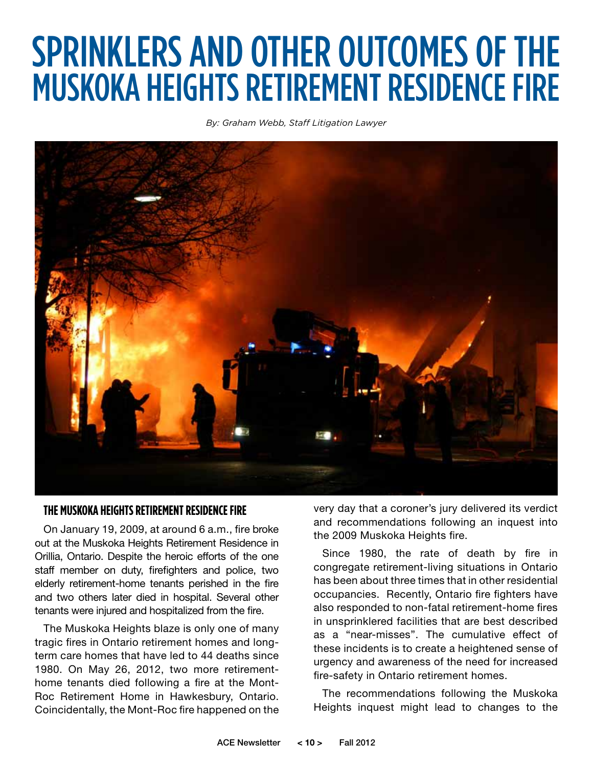## SPRINKLERS AND OTHER OUTCOMES OF THE MUSKOKA HEIGHTS RETIREMENT RESIDENCE FIRE

*By: Graham Webb, Staff Litigation Lawyer*



#### **The Muskoka Heights Retirement RESIDENCE Fire**

On January 19, 2009, at around 6 a.m., fire broke out at the Muskoka Heights Retirement Residence in Orillia, Ontario. Despite the heroic efforts of the one staff member on duty, firefighters and police, two elderly retirement-home tenants perished in the fire and two others later died in hospital. Several other tenants were injured and hospitalized from the fire.

The Muskoka Heights blaze is only one of many tragic fires in Ontario retirement homes and longterm care homes that have led to 44 deaths since 1980. On May 26, 2012, two more retirementhome tenants died following a fire at the Mont-Roc Retirement Home in Hawkesbury, Ontario. Coincidentally, the Mont-Roc fire happened on the very day that a coroner's jury delivered its verdict and recommendations following an inquest into the 2009 Muskoka Heights fire.

Since 1980, the rate of death by fire in congregate retirement-living situations in Ontario has been about three times that in other residential occupancies. Recently, Ontario fire fighters have also responded to non-fatal retirement-home fires in unsprinklered facilities that are best described as a "near-misses". The cumulative effect of these incidents is to create a heightened sense of urgency and awareness of the need for increased fire-safety in Ontario retirement homes.

The recommendations following the Muskoka Heights inquest might lead to changes to the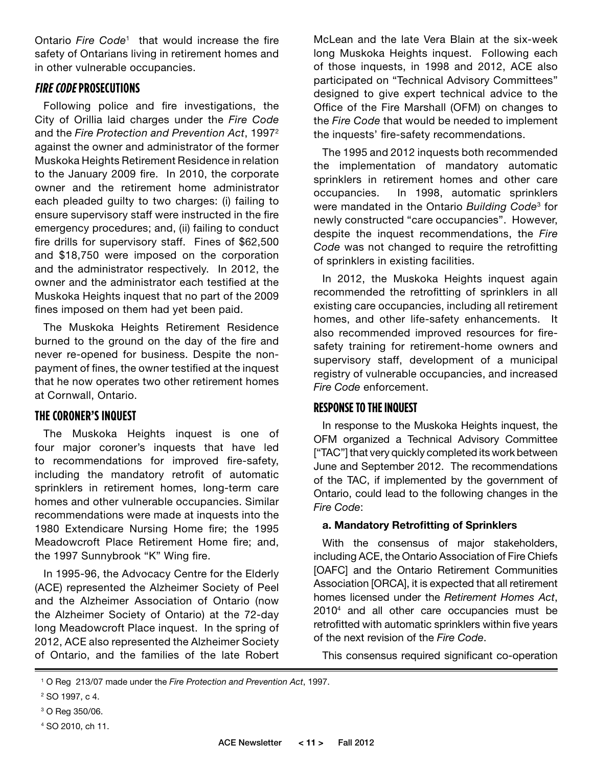Ontario *Fire Code*1 that would increase the fire safety of Ontarians living in retirement homes and in other vulnerable occupancies.

#### **Fire Code Prosecutions**

Following police and fire investigations, the City of Orillia laid charges under the *Fire Code* and the *Fire Protection and Prevention Act*, 19972 against the owner and administrator of the former Muskoka Heights Retirement Residence in relation to the January 2009 fire. In 2010, the corporate owner and the retirement home administrator each pleaded guilty to two charges: (i) failing to ensure supervisory staff were instructed in the fire emergency procedures; and, (ii) failing to conduct fire drills for supervisory staff. Fines of \$62,500 and \$18,750 were imposed on the corporation and the administrator respectively. In 2012, the owner and the administrator each testified at the Muskoka Heights inquest that no part of the 2009 fines imposed on them had yet been paid.

The Muskoka Heights Retirement Residence burned to the ground on the day of the fire and never re-opened for business. Despite the nonpayment of fines, the owner testified at the inquest that he now operates two other retirement homes at Cornwall, Ontario.

### **The Coroner's Inquest**

The Muskoka Heights inquest is one of four major coroner's inquests that have led to recommendations for improved fire-safety, including the mandatory retrofit of automatic sprinklers in retirement homes, long-term care homes and other vulnerable occupancies. Similar recommendations were made at inquests into the 1980 Extendicare Nursing Home fire; the 1995 Meadowcroft Place Retirement Home fire; and, the 1997 Sunnybrook "K" Wing fire.

In 1995-96, the Advocacy Centre for the Elderly (ACE) represented the Alzheimer Society of Peel and the Alzheimer Association of Ontario (now the Alzheimer Society of Ontario) at the 72-day long Meadowcroft Place inquest. In the spring of 2012, ACE also represented the Alzheimer Society of Ontario, and the families of the late Robert McLean and the late Vera Blain at the six-week long Muskoka Heights inquest. Following each of those inquests, in 1998 and 2012, ACE also participated on "Technical Advisory Committees" designed to give expert technical advice to the Office of the Fire Marshall (OFM) on changes to the *Fire Code* that would be needed to implement the inquests' fire-safety recommendations.

The 1995 and 2012 inquests both recommended the implementation of mandatory automatic sprinklers in retirement homes and other care occupancies. In 1998, automatic sprinklers were mandated in the Ontario *Building Code*3 for newly constructed "care occupancies". However, despite the inquest recommendations, the *Fire Code* was not changed to require the retrofitting of sprinklers in existing facilities.

In 2012, the Muskoka Heights inquest again recommended the retrofitting of sprinklers in all existing care occupancies, including all retirement homes, and other life-safety enhancements. It also recommended improved resources for firesafety training for retirement-home owners and supervisory staff, development of a municipal registry of vulnerable occupancies, and increased *Fire Code* enforcement.

#### **RESPONSE TO THE INQUEST**

In response to the Muskoka Heights inquest, the OFM organized a Technical Advisory Committee ["TAC"] that very quickly completed its work between June and September 2012. The recommendations of the TAC, if implemented by the government of Ontario, could lead to the following changes in the *Fire Code*:

#### **a. Mandatory Retrofitting of Sprinklers**

With the consensus of major stakeholders, including ACE, the Ontario Association of Fire Chiefs [OAFC] and the Ontario Retirement Communities Association [ORCA], it is expected that all retirement homes licensed under the *Retirement Homes Act*, 20104 and all other care occupancies must be retrofitted with automatic sprinklers within five years of the next revision of the *Fire Code*.

This consensus required significant co-operation

<sup>1</sup> O Reg 213/07 made under the *Fire Protection and Prevention Act*, 1997.

<sup>2</sup> SO 1997, c 4.

<sup>3</sup> O Reg 350/06.

<sup>4</sup> SO 2010, ch 11.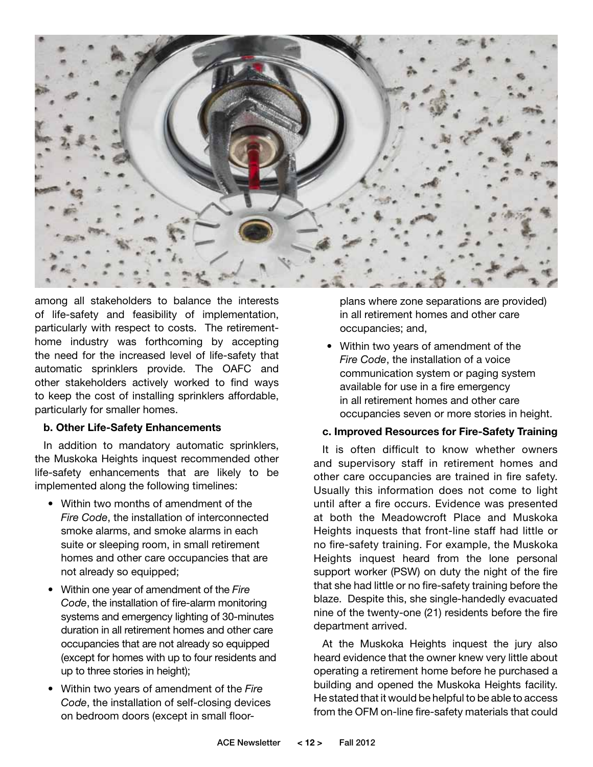

among all stakeholders to balance the interests of life-safety and feasibility of implementation, particularly with respect to costs. The retirementhome industry was forthcoming by accepting the need for the increased level of life-safety that automatic sprinklers provide. The OAFC and other stakeholders actively worked to find ways to keep the cost of installing sprinklers affordable, particularly for smaller homes.

#### **b. Other Life-Safety Enhancements**

In addition to mandatory automatic sprinklers, the Muskoka Heights inquest recommended other life-safety enhancements that are likely to be implemented along the following timelines:

- Within two months of amendment of the *Fire Code*, the installation of interconnected smoke alarms, and smoke alarms in each suite or sleeping room, in small retirement homes and other care occupancies that are not already so equipped;
- • Within one year of amendment of the *Fire Code*, the installation of fire-alarm monitoring systems and emergency lighting of 30-minutes duration in all retirement homes and other care occupancies that are not already so equipped (except for homes with up to four residents and up to three stories in height);
- • Within two years of amendment of the *Fire Code*, the installation of self-closing devices on bedroom doors (except in small floor-

plans where zone separations are provided) in all retirement homes and other care occupancies; and,

• Within two years of amendment of the *Fire Code*, the installation of a voice communication system or paging system available for use in a fire emergency in all retirement homes and other care occupancies seven or more stories in height.

#### **c. Improved Resources for Fire-Safety Training**

It is often difficult to know whether owners and supervisory staff in retirement homes and other care occupancies are trained in fire safety. Usually this information does not come to light until after a fire occurs. Evidence was presented at both the Meadowcroft Place and Muskoka Heights inquests that front-line staff had little or no fire-safety training. For example, the Muskoka Heights inquest heard from the lone personal support worker (PSW) on duty the night of the fire that she had little or no fire-safety training before the blaze. Despite this, she single-handedly evacuated nine of the twenty-one (21) residents before the fire department arrived.

At the Muskoka Heights inquest the jury also heard evidence that the owner knew very little about operating a retirement home before he purchased a building and opened the Muskoka Heights facility. He stated that it would be helpful to be able to access from the OFM on-line fire-safety materials that could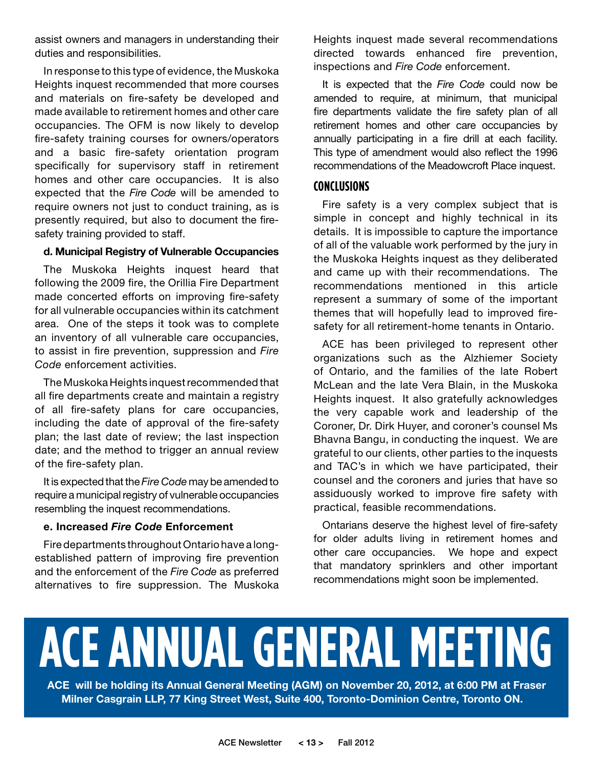assist owners and managers in understanding their duties and responsibilities.

In response to this type of evidence, the Muskoka Heights inquest recommended that more courses and materials on fire-safety be developed and made available to retirement homes and other care occupancies. The OFM is now likely to develop fire-safety training courses for owners/operators and a basic fire-safety orientation program specifically for supervisory staff in retirement homes and other care occupancies. It is also expected that the *Fire Code* will be amended to require owners not just to conduct training, as is presently required, but also to document the firesafety training provided to staff.

#### **d. Municipal Registry of Vulnerable Occupancies**

The Muskoka Heights inquest heard that following the 2009 fire, the Orillia Fire Department made concerted efforts on improving fire-safety for all vulnerable occupancies within its catchment area. One of the steps it took was to complete an inventory of all vulnerable care occupancies, to assist in fire prevention, suppression and *Fire Code* enforcement activities.

The Muskoka Heights inquest recommended that all fire departments create and maintain a registry of all fire-safety plans for care occupancies, including the date of approval of the fire-safety plan; the last date of review; the last inspection date; and the method to trigger an annual review of the fire-safety plan.

It is expected that the *Fire Code* may be amended to require a municipal registry of vulnerable occupancies resembling the inquest recommendations.

#### **e. Increased** *Fire Code* **Enforcement**

Fire departments throughout Ontario have a longestablished pattern of improving fire prevention and the enforcement of the *Fire Code* as preferred alternatives to fire suppression. The Muskoka

Heights inquest made several recommendations directed towards enhanced fire prevention, inspections and *Fire Code* enforcement.

It is expected that the *Fire Code* could now be amended to require, at minimum, that municipal fire departments validate the fire safety plan of all retirement homes and other care occupancies by annually participating in a fire drill at each facility. This type of amendment would also reflect the 1996 recommendations of the Meadowcroft Place inquest.

#### **Conclusions**

Fire safety is a very complex subject that is simple in concept and highly technical in its details. It is impossible to capture the importance of all of the valuable work performed by the jury in the Muskoka Heights inquest as they deliberated and came up with their recommendations. The recommendations mentioned in this article represent a summary of some of the important themes that will hopefully lead to improved firesafety for all retirement-home tenants in Ontario.

ACE has been privileged to represent other organizations such as the Alzhiemer Society of Ontario, and the families of the late Robert McLean and the late Vera Blain, in the Muskoka Heights inquest. It also gratefully acknowledges the very capable work and leadership of the Coroner, Dr. Dirk Huyer, and coroner's counsel Ms Bhavna Bangu, in conducting the inquest. We are grateful to our clients, other parties to the inquests and TAC's in which we have participated, their counsel and the coroners and juries that have so assiduously worked to improve fire safety with practical, feasible recommendations.

Ontarians deserve the highest level of fire-safety for older adults living in retirement homes and other care occupancies. We hope and expect that mandatory sprinklers and other important recommendations might soon be implemented.

## **ACE ANNUAL GENERAL MEETING**

**ACE will be holding its Annual General Meeting (AGM) on November 20, 2012, at 6:00 PM at Fraser Milner Casgrain LLP, 77 King Street West, Suite 400, Toronto-Dominion Centre, Toronto ON.**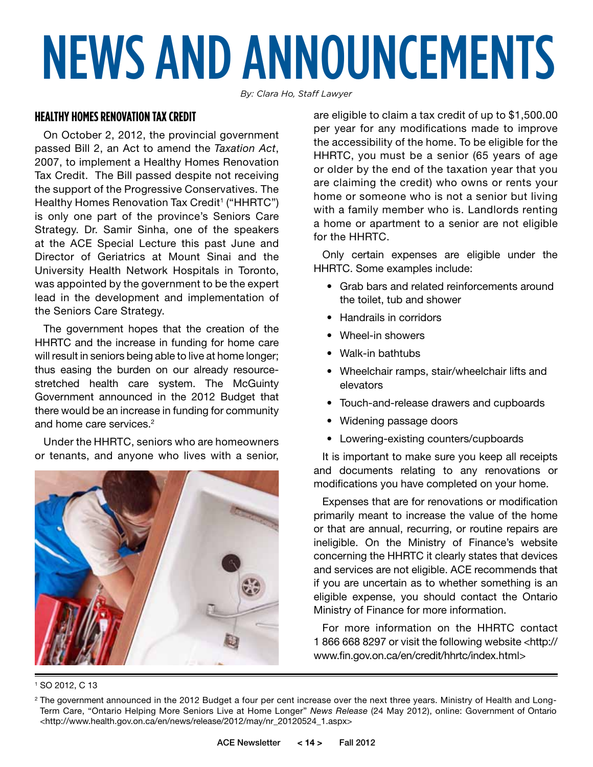# NEWS AND ANNOUNCEMENTS

*By: Clara Ho, Staff Lawyer* 

#### **Healthy Homes Renovation Tax Credit**

On October 2, 2012, the provincial government passed Bill 2, an Act to amend the *Taxation Act*, 2007, to implement a Healthy Homes Renovation Tax Credit. The Bill passed despite not receiving the support of the Progressive Conservatives. The Healthy Homes Renovation Tax Credit<sup>1</sup> ("HHRTC") is only one part of the province's Seniors Care Strategy. Dr. Samir Sinha, one of the speakers at the ACE Special Lecture this past June and Director of Geriatrics at Mount Sinai and the University Health Network Hospitals in Toronto, was appointed by the government to be the expert lead in the development and implementation of the Seniors Care Strategy.

The government hopes that the creation of the HHRTC and the increase in funding for home care will result in seniors being able to live at home longer; thus easing the burden on our already resourcestretched health care system. The McGuinty Government announced in the 2012 Budget that there would be an increase in funding for community and home care services.<sup>2</sup>

Under the HHRTC, seniors who are homeowners or tenants, and anyone who lives with a senior,



1 SO 2012, C 13

are eligible to claim a tax credit of up to \$1,500.00 per year for any modifications made to improve the accessibility of the home. To be eligible for the HHRTC, you must be a senior (65 years of age or older by the end of the taxation year that you are claiming the credit) who owns or rents your home or someone who is not a senior but living with a family member who is. Landlords renting a home or apartment to a senior are not eligible for the HHRTC.

Only certain expenses are eligible under the HHRTC. Some examples include:

- • Grab bars and related reinforcements around the toilet, tub and shower
- Handrails in corridors
- Wheel-in showers
- • Walk-in bathtubs
- Wheelchair ramps, stair/wheelchair lifts and elevators
- Touch-and-release drawers and cupboards
- Widening passage doors
- • Lowering-existing counters/cupboards

It is important to make sure you keep all receipts and documents relating to any renovations or modifications you have completed on your home.

Expenses that are for renovations or modification primarily meant to increase the value of the home or that are annual, recurring, or routine repairs are ineligible. On the Ministry of Finance's website concerning the HHRTC it clearly states that devices and services are not eligible. ACE recommends that if you are uncertain as to whether something is an eligible expense, you should contact the Ontario Ministry of Finance for more information.

For more information on the HHRTC contact 1 866 668 8297 or visit the following website <http:// www.fin.gov.on.ca/en/credit/hhrtc/index.html>

<sup>&</sup>lt;sup>2</sup> The government announced in the 2012 Budget a four per cent increase over the next three years. Ministry of Health and Long-Term Care, "Ontario Helping More Seniors Live at Home Longer" *News Release* (24 May 2012), online: Government of Ontario <http://www.health.gov.on.ca/en/news/release/2012/may/nr\_20120524\_1.aspx>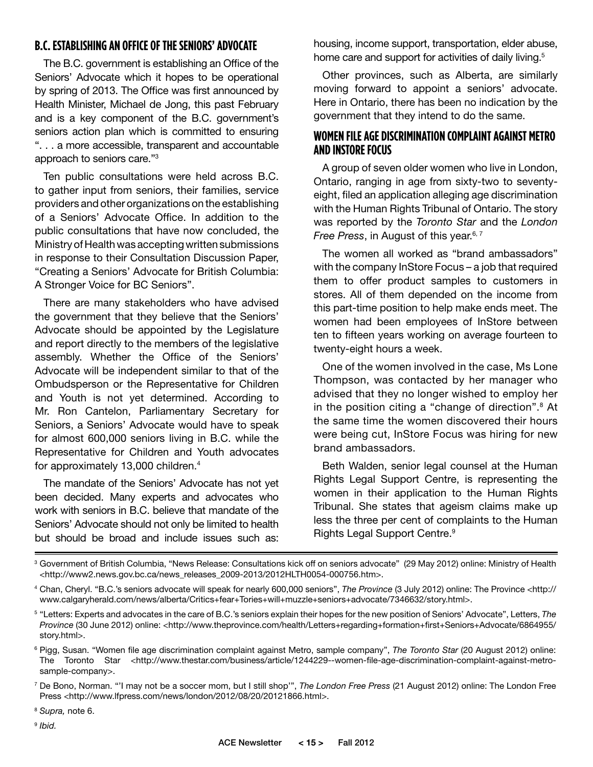### **B.C. Establishing an Office of the Seniors' Advocate**

The B.C. government is establishing an Office of the Seniors' Advocate which it hopes to be operational by spring of 2013. The Office was first announced by Health Minister, Michael de Jong, this past February and is a key component of the B.C. government's seniors action plan which is committed to ensuring ". . . a more accessible, transparent and accountable approach to seniors care."3

Ten public consultations were held across B.C. to gather input from seniors, their families, service providers and other organizations on the establishing of a Seniors' Advocate Office. In addition to the public consultations that have now concluded, the Ministry of Health was accepting written submissions in response to their Consultation Discussion Paper, "Creating a Seniors' Advocate for British Columbia: A Stronger Voice for BC Seniors".

There are many stakeholders who have advised the government that they believe that the Seniors' Advocate should be appointed by the Legislature and report directly to the members of the legislative assembly. Whether the Office of the Seniors' Advocate will be independent similar to that of the Ombudsperson or the Representative for Children and Youth is not yet determined. According to Mr. Ron Cantelon, Parliamentary Secretary for Seniors, a Seniors' Advocate would have to speak for almost 600,000 seniors living in B.C. while the Representative for Children and Youth advocates for approximately 13,000 children.4

The mandate of the Seniors' Advocate has not yet been decided. Many experts and advocates who work with seniors in B.C. believe that mandate of the Seniors' Advocate should not only be limited to health but should be broad and include issues such as: housing, income support, transportation, elder abuse, home care and support for activities of daily living.<sup>5</sup>

Other provinces, such as Alberta, are similarly moving forward to appoint a seniors' advocate. Here in Ontario, there has been no indication by the government that they intend to do the same.

#### **Women FileAge Discrimination Complaint against Metro AND INSTORE FOCUS**

A group of seven older women who live in London, Ontario, ranging in age from sixty-two to seventyeight, filed an application alleging age discrimination with the Human Rights Tribunal of Ontario. The story was reported by the *Toronto Star* and the *London Free Press*, in August of this year.<sup>6, 7</sup>

The women all worked as "brand ambassadors" with the company InStore Focus – a job that required them to offer product samples to customers in stores. All of them depended on the income from this part-time position to help make ends meet. The women had been employees of InStore between ten to fifteen years working on average fourteen to twenty-eight hours a week.

One of the women involved in the case, Ms Lone Thompson, was contacted by her manager who advised that they no longer wished to employ her in the position citing a "change of direction".<sup>8</sup> At the same time the women discovered their hours were being cut, InStore Focus was hiring for new brand ambassadors.

Beth Walden, senior legal counsel at the Human Rights Legal Support Centre, is representing the women in their application to the Human Rights Tribunal. She states that ageism claims make up less the three per cent of complaints to the Human Rights Legal Support Centre.<sup>9</sup>

<sup>&</sup>lt;sup>3</sup> Government of British Columbia, "News Release: Consultations kick off on seniors advocate" (29 May 2012) online: Ministry of Health <http://www2.news.gov.bc.ca/news\_releases\_2009-2013/2012HLTH0054-000756.htm>.

<sup>4</sup> Chan, Cheryl. "B.C.'s seniors advocate will speak for nearly 600,000 seniors", *The Province* (3 July 2012) online: The Province <http:// www.calgaryherald.com/news/alberta/Critics+fear+Tories+will+muzzle+seniors+advocate/7346632/story.html>.

<sup>5</sup> "Letters: Experts and advocates in the care of B.C.'s seniors explain their hopes for the new position of Seniors' Advocate", Letters, *The Province* (30 June 2012) online: <http://www.theprovince.com/health/Letters+regarding+formation+first+Seniors+Advocate/6864955/ story.html>.

<sup>6</sup> Pigg, Susan. "Women file age discrimination complaint against Metro, sample company", *The Toronto Star* (20 August 2012) online: The Toronto Star <http://www.thestar.com/business/article/1244229--women-file-age-discrimination-complaint-against-metrosample-company>.

<sup>7</sup> De Bono, Norman. "'I may not be a soccer mom, but I still shop'", *The London Free Press* (21 August 2012) online: The London Free Press <http://www.lfpress.com/news/london/2012/08/20/20121866.html>.

<sup>8</sup> *Supra,* note 6.

<sup>9</sup> *Ibid.*